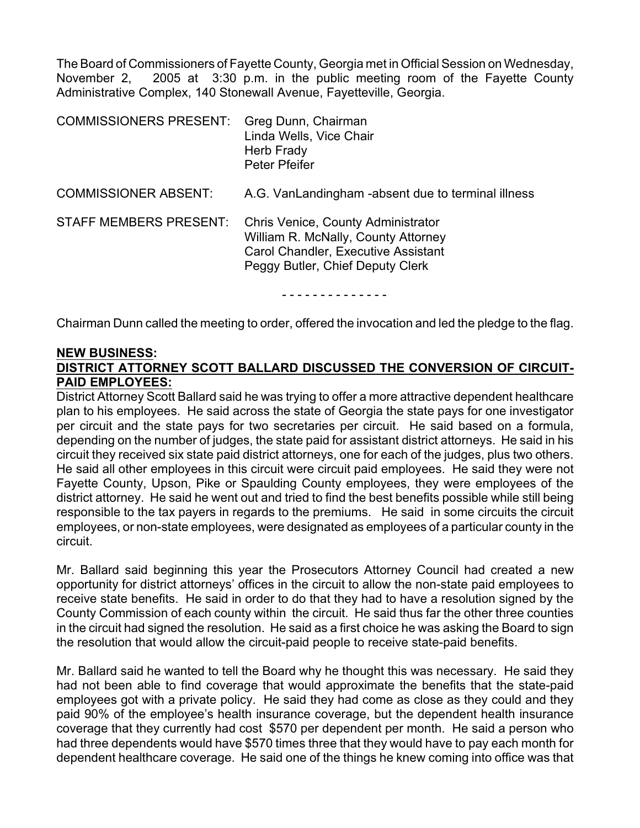The Board of Commissioners of Fayette County, Georgia met in Official Session on Wednesday, November 2, 2005 at 3:30 p.m. in the public meeting room of the Fayette County Administrative Complex, 140 Stonewall Avenue, Fayetteville, Georgia.

| <b>COMMISSIONERS PRESENT:</b> | Greg Dunn, Chairman<br>Linda Wells, Vice Chair<br>Herb Frady<br>Peter Pfeifer                                                                        |
|-------------------------------|------------------------------------------------------------------------------------------------------------------------------------------------------|
| <b>COMMISSIONER ABSENT:</b>   | A.G. VanLandingham -absent due to terminal illness                                                                                                   |
| <b>STAFF MEMBERS PRESENT:</b> | Chris Venice, County Administrator<br>William R. McNally, County Attorney<br>Carol Chandler, Executive Assistant<br>Peggy Butler, Chief Deputy Clerk |

- - - - - - - - - - - - - -

Chairman Dunn called the meeting to order, offered the invocation and led the pledge to the flag.

### **NEW BUSINESS: DISTRICT ATTORNEY SCOTT BALLARD DISCUSSED THE CONVERSION OF CIRCUIT-PAID EMPLOYEES:**

District Attorney Scott Ballard said he was trying to offer a more attractive dependent healthcare plan to his employees. He said across the state of Georgia the state pays for one investigator per circuit and the state pays for two secretaries per circuit. He said based on a formula, depending on the number of judges, the state paid for assistant district attorneys. He said in his circuit they received six state paid district attorneys, one for each of the judges, plus two others. He said all other employees in this circuit were circuit paid employees. He said they were not Fayette County, Upson, Pike or Spaulding County employees, they were employees of the district attorney. He said he went out and tried to find the best benefits possible while still being responsible to the tax payers in regards to the premiums. He said in some circuits the circuit employees, or non-state employees, were designated as employees of a particular county in the circuit.

Mr. Ballard said beginning this year the Prosecutors Attorney Council had created a new opportunity for district attorneys' offices in the circuit to allow the non-state paid employees to receive state benefits. He said in order to do that they had to have a resolution signed by the County Commission of each county within the circuit. He said thus far the other three counties in the circuit had signed the resolution. He said as a first choice he was asking the Board to sign the resolution that would allow the circuit-paid people to receive state-paid benefits.

Mr. Ballard said he wanted to tell the Board why he thought this was necessary. He said they had not been able to find coverage that would approximate the benefits that the state-paid employees got with a private policy. He said they had come as close as they could and they paid 90% of the employee's health insurance coverage, but the dependent health insurance coverage that they currently had cost \$570 per dependent per month. He said a person who had three dependents would have \$570 times three that they would have to pay each month for dependent healthcare coverage. He said one of the things he knew coming into office was that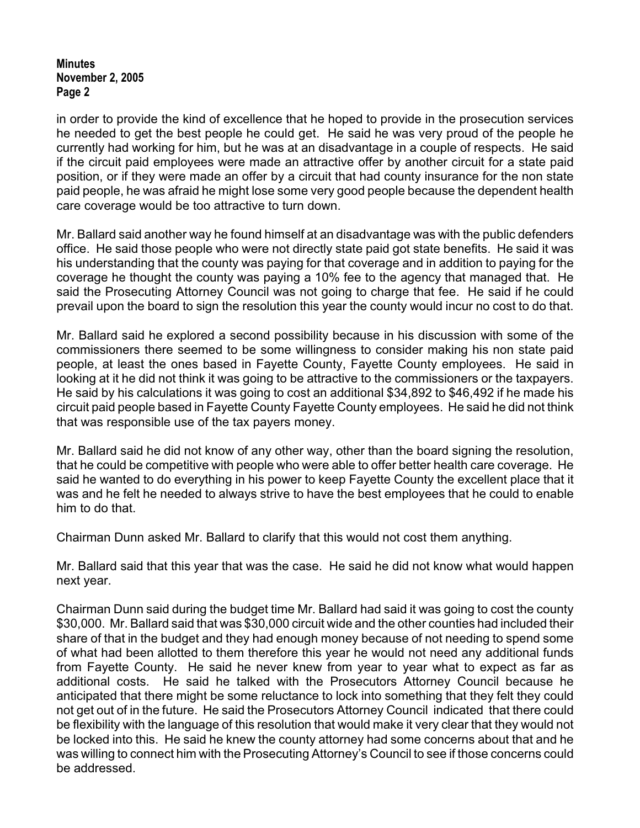in order to provide the kind of excellence that he hoped to provide in the prosecution services he needed to get the best people he could get. He said he was very proud of the people he currently had working for him, but he was at an disadvantage in a couple of respects. He said if the circuit paid employees were made an attractive offer by another circuit for a state paid position, or if they were made an offer by a circuit that had county insurance for the non state paid people, he was afraid he might lose some very good people because the dependent health care coverage would be too attractive to turn down.

Mr. Ballard said another way he found himself at an disadvantage was with the public defenders office. He said those people who were not directly state paid got state benefits. He said it was his understanding that the county was paying for that coverage and in addition to paying for the coverage he thought the county was paying a 10% fee to the agency that managed that. He said the Prosecuting Attorney Council was not going to charge that fee. He said if he could prevail upon the board to sign the resolution this year the county would incur no cost to do that.

Mr. Ballard said he explored a second possibility because in his discussion with some of the commissioners there seemed to be some willingness to consider making his non state paid people, at least the ones based in Fayette County, Fayette County employees. He said in looking at it he did not think it was going to be attractive to the commissioners or the taxpayers. He said by his calculations it was going to cost an additional \$34,892 to \$46,492 if he made his circuit paid people based in Fayette County Fayette County employees. He said he did not think that was responsible use of the tax payers money.

Mr. Ballard said he did not know of any other way, other than the board signing the resolution, that he could be competitive with people who were able to offer better health care coverage. He said he wanted to do everything in his power to keep Fayette County the excellent place that it was and he felt he needed to always strive to have the best employees that he could to enable him to do that.

Chairman Dunn asked Mr. Ballard to clarify that this would not cost them anything.

Mr. Ballard said that this year that was the case. He said he did not know what would happen next year.

Chairman Dunn said during the budget time Mr. Ballard had said it was going to cost the county \$30,000. Mr. Ballard said that was \$30,000 circuit wide and the other counties had included their share of that in the budget and they had enough money because of not needing to spend some of what had been allotted to them therefore this year he would not need any additional funds from Fayette County. He said he never knew from year to year what to expect as far as additional costs. He said he talked with the Prosecutors Attorney Council because he anticipated that there might be some reluctance to lock into something that they felt they could not get out of in the future. He said the Prosecutors Attorney Council indicated that there could be flexibility with the language of this resolution that would make it very clear that they would not be locked into this. He said he knew the county attorney had some concerns about that and he was willing to connect him with the Prosecuting Attorney's Council to see if those concerns could be addressed.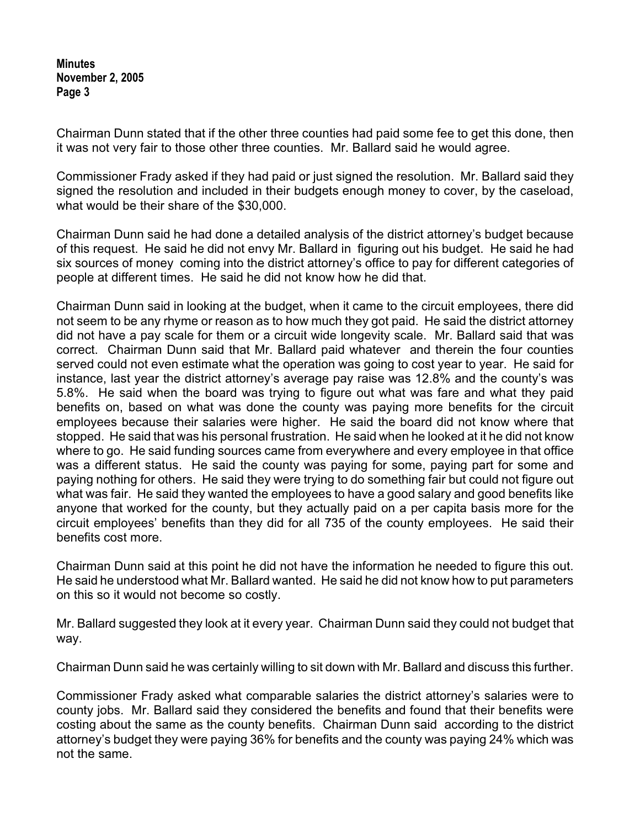Chairman Dunn stated that if the other three counties had paid some fee to get this done, then it was not very fair to those other three counties. Mr. Ballard said he would agree.

Commissioner Frady asked if they had paid or just signed the resolution. Mr. Ballard said they signed the resolution and included in their budgets enough money to cover, by the caseload, what would be their share of the \$30,000.

Chairman Dunn said he had done a detailed analysis of the district attorney's budget because of this request. He said he did not envy Mr. Ballard in figuring out his budget. He said he had six sources of money coming into the district attorney's office to pay for different categories of people at different times. He said he did not know how he did that.

Chairman Dunn said in looking at the budget, when it came to the circuit employees, there did not seem to be any rhyme or reason as to how much they got paid. He said the district attorney did not have a pay scale for them or a circuit wide longevity scale. Mr. Ballard said that was correct. Chairman Dunn said that Mr. Ballard paid whatever and therein the four counties served could not even estimate what the operation was going to cost year to year. He said for instance, last year the district attorney's average pay raise was 12.8% and the county's was 5.8%. He said when the board was trying to figure out what was fare and what they paid benefits on, based on what was done the county was paying more benefits for the circuit employees because their salaries were higher. He said the board did not know where that stopped. He said that was his personal frustration. He said when he looked at it he did not know where to go. He said funding sources came from everywhere and every employee in that office was a different status. He said the county was paying for some, paying part for some and paying nothing for others. He said they were trying to do something fair but could not figure out what was fair. He said they wanted the employees to have a good salary and good benefits like anyone that worked for the county, but they actually paid on a per capita basis more for the circuit employees' benefits than they did for all 735 of the county employees. He said their benefits cost more.

Chairman Dunn said at this point he did not have the information he needed to figure this out. He said he understood what Mr. Ballard wanted. He said he did not know how to put parameters on this so it would not become so costly.

Mr. Ballard suggested they look at it every year. Chairman Dunn said they could not budget that way.

Chairman Dunn said he was certainly willing to sit down with Mr. Ballard and discuss this further.

Commissioner Frady asked what comparable salaries the district attorney's salaries were to county jobs. Mr. Ballard said they considered the benefits and found that their benefits were costing about the same as the county benefits. Chairman Dunn said according to the district attorney's budget they were paying 36% for benefits and the county was paying 24% which was not the same.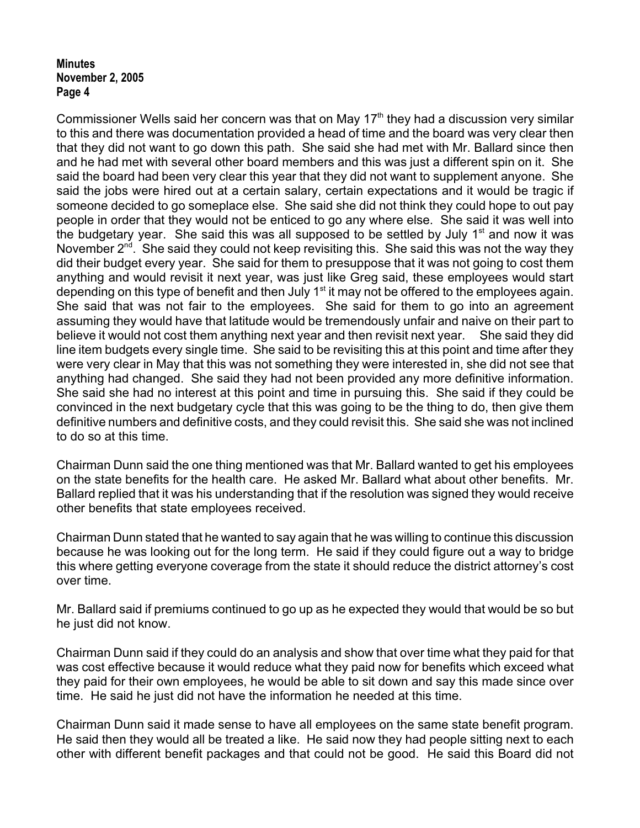Commissioner Wells said her concern was that on May  $17<sup>th</sup>$  they had a discussion very similar to this and there was documentation provided a head of time and the board was very clear then that they did not want to go down this path. She said she had met with Mr. Ballard since then and he had met with several other board members and this was just a different spin on it. She said the board had been very clear this year that they did not want to supplement anyone. She said the jobs were hired out at a certain salary, certain expectations and it would be tragic if someone decided to go someplace else. She said she did not think they could hope to out pay people in order that they would not be enticed to go any where else. She said it was well into the budgetary year. She said this was all supposed to be settled by July  $1<sup>st</sup>$  and now it was November  $2^{nd}$ . She said they could not keep revisiting this. She said this was not the way they did their budget every year. She said for them to presuppose that it was not going to cost them anything and would revisit it next year, was just like Greg said, these employees would start depending on this type of benefit and then July  $1<sup>st</sup>$  it may not be offered to the employees again. She said that was not fair to the employees. She said for them to go into an agreement assuming they would have that latitude would be tremendously unfair and naive on their part to believe it would not cost them anything next year and then revisit next year. She said they did line item budgets every single time. She said to be revisiting this at this point and time after they were very clear in May that this was not something they were interested in, she did not see that anything had changed. She said they had not been provided any more definitive information. She said she had no interest at this point and time in pursuing this. She said if they could be convinced in the next budgetary cycle that this was going to be the thing to do, then give them definitive numbers and definitive costs, and they could revisit this. She said she was not inclined to do so at this time.

Chairman Dunn said the one thing mentioned was that Mr. Ballard wanted to get his employees on the state benefits for the health care. He asked Mr. Ballard what about other benefits. Mr. Ballard replied that it was his understanding that if the resolution was signed they would receive other benefits that state employees received.

Chairman Dunn stated that he wanted to say again that he was willing to continue this discussion because he was looking out for the long term. He said if they could figure out a way to bridge this where getting everyone coverage from the state it should reduce the district attorney's cost over time.

Mr. Ballard said if premiums continued to go up as he expected they would that would be so but he just did not know.

Chairman Dunn said if they could do an analysis and show that over time what they paid for that was cost effective because it would reduce what they paid now for benefits which exceed what they paid for their own employees, he would be able to sit down and say this made since over time. He said he just did not have the information he needed at this time.

Chairman Dunn said it made sense to have all employees on the same state benefit program. He said then they would all be treated a like. He said now they had people sitting next to each other with different benefit packages and that could not be good. He said this Board did not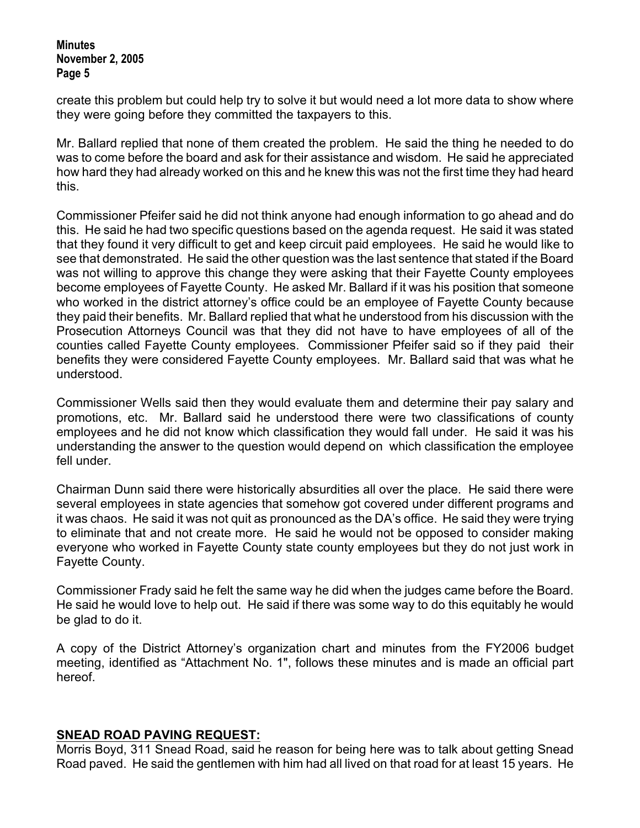create this problem but could help try to solve it but would need a lot more data to show where they were going before they committed the taxpayers to this.

Mr. Ballard replied that none of them created the problem. He said the thing he needed to do was to come before the board and ask for their assistance and wisdom. He said he appreciated how hard they had already worked on this and he knew this was not the first time they had heard this.

Commissioner Pfeifer said he did not think anyone had enough information to go ahead and do this. He said he had two specific questions based on the agenda request. He said it was stated that they found it very difficult to get and keep circuit paid employees. He said he would like to see that demonstrated. He said the other question was the last sentence that stated if the Board was not willing to approve this change they were asking that their Fayette County employees become employees of Fayette County. He asked Mr. Ballard if it was his position that someone who worked in the district attorney's office could be an employee of Fayette County because they paid their benefits. Mr. Ballard replied that what he understood from his discussion with the Prosecution Attorneys Council was that they did not have to have employees of all of the counties called Fayette County employees. Commissioner Pfeifer said so if they paid their benefits they were considered Fayette County employees. Mr. Ballard said that was what he understood.

Commissioner Wells said then they would evaluate them and determine their pay salary and promotions, etc. Mr. Ballard said he understood there were two classifications of county employees and he did not know which classification they would fall under. He said it was his understanding the answer to the question would depend on which classification the employee fell under.

Chairman Dunn said there were historically absurdities all over the place. He said there were several employees in state agencies that somehow got covered under different programs and it was chaos. He said it was not quit as pronounced as the DA's office. He said they were trying to eliminate that and not create more. He said he would not be opposed to consider making everyone who worked in Fayette County state county employees but they do not just work in Fayette County.

Commissioner Frady said he felt the same way he did when the judges came before the Board. He said he would love to help out. He said if there was some way to do this equitably he would be glad to do it.

A copy of the District Attorney's organization chart and minutes from the FY2006 budget meeting, identified as "Attachment No. 1", follows these minutes and is made an official part hereof.

### **SNEAD ROAD PAVING REQUEST:**

Morris Boyd, 311 Snead Road, said he reason for being here was to talk about getting Snead Road paved. He said the gentlemen with him had all lived on that road for at least 15 years. He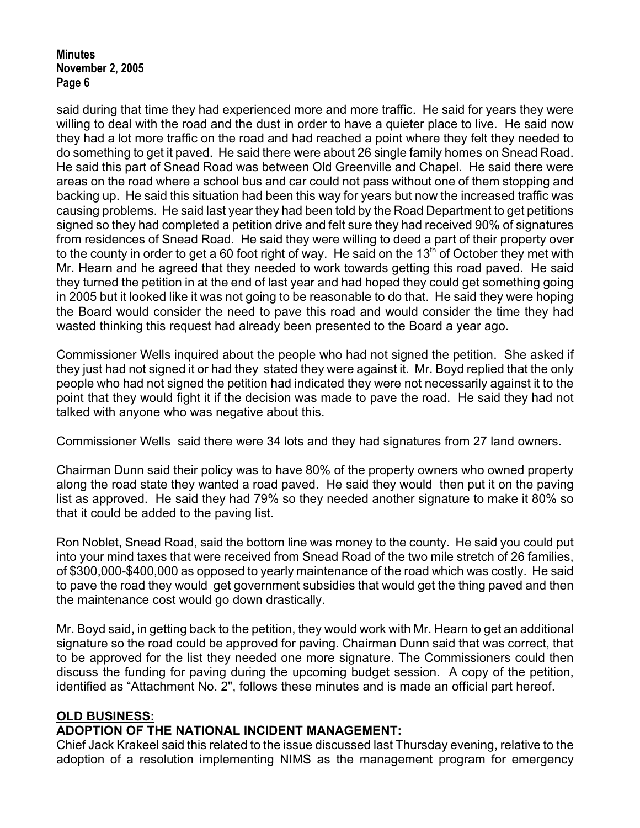said during that time they had experienced more and more traffic. He said for years they were willing to deal with the road and the dust in order to have a quieter place to live. He said now they had a lot more traffic on the road and had reached a point where they felt they needed to do something to get it paved. He said there were about 26 single family homes on Snead Road. He said this part of Snead Road was between Old Greenville and Chapel. He said there were areas on the road where a school bus and car could not pass without one of them stopping and backing up. He said this situation had been this way for years but now the increased traffic was causing problems. He said last year they had been told by the Road Department to get petitions signed so they had completed a petition drive and felt sure they had received 90% of signatures from residences of Snead Road. He said they were willing to deed a part of their property over to the county in order to get a 60 foot right of way. He said on the 13<sup>th</sup> of October they met with Mr. Hearn and he agreed that they needed to work towards getting this road paved. He said they turned the petition in at the end of last year and had hoped they could get something going in 2005 but it looked like it was not going to be reasonable to do that. He said they were hoping the Board would consider the need to pave this road and would consider the time they had wasted thinking this request had already been presented to the Board a year ago.

Commissioner Wells inquired about the people who had not signed the petition. She asked if they just had not signed it or had they stated they were against it. Mr. Boyd replied that the only people who had not signed the petition had indicated they were not necessarily against it to the point that they would fight it if the decision was made to pave the road. He said they had not talked with anyone who was negative about this.

Commissioner Wells said there were 34 lots and they had signatures from 27 land owners.

Chairman Dunn said their policy was to have 80% of the property owners who owned property along the road state they wanted a road paved. He said they would then put it on the paving list as approved. He said they had 79% so they needed another signature to make it 80% so that it could be added to the paving list.

Ron Noblet, Snead Road, said the bottom line was money to the county. He said you could put into your mind taxes that were received from Snead Road of the two mile stretch of 26 families, of \$300,000-\$400,000 as opposed to yearly maintenance of the road which was costly. He said to pave the road they would get government subsidies that would get the thing paved and then the maintenance cost would go down drastically.

Mr. Boyd said, in getting back to the petition, they would work with Mr. Hearn to get an additional signature so the road could be approved for paving. Chairman Dunn said that was correct, that to be approved for the list they needed one more signature. The Commissioners could then discuss the funding for paving during the upcoming budget session. A copy of the petition, identified as "Attachment No. 2", follows these minutes and is made an official part hereof.

# **OLD BUSINESS:**

# **ADOPTION OF THE NATIONAL INCIDENT MANAGEMENT:**

Chief Jack Krakeel said this related to the issue discussed last Thursday evening, relative to the adoption of a resolution implementing NIMS as the management program for emergency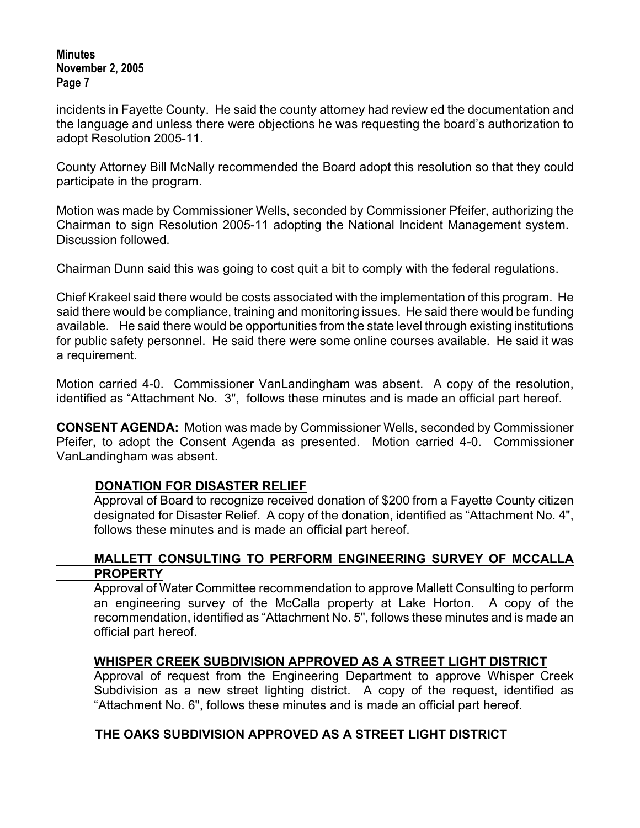incidents in Fayette County. He said the county attorney had review ed the documentation and the language and unless there were objections he was requesting the board's authorization to adopt Resolution 2005-11.

County Attorney Bill McNally recommended the Board adopt this resolution so that they could participate in the program.

Motion was made by Commissioner Wells, seconded by Commissioner Pfeifer, authorizing the Chairman to sign Resolution 2005-11 adopting the National Incident Management system. Discussion followed.

Chairman Dunn said this was going to cost quit a bit to comply with the federal regulations.

Chief Krakeel said there would be costs associated with the implementation of this program. He said there would be compliance, training and monitoring issues. He said there would be funding available. He said there would be opportunities from the state level through existing institutions for public safety personnel. He said there were some online courses available. He said it was a requirement.

Motion carried 4-0. Commissioner VanLandingham was absent. A copy of the resolution, identified as "Attachment No. 3", follows these minutes and is made an official part hereof.

**CONSENT AGENDA:** Motion was made by Commissioner Wells, seconded by Commissioner Pfeifer, to adopt the Consent Agenda as presented. Motion carried 4-0. Commissioner VanLandingham was absent.

# **DONATION FOR DISASTER RELIEF**

Approval of Board to recognize received donation of \$200 from a Fayette County citizen designated for Disaster Relief.A copy of the donation, identified as "Attachment No. 4", follows these minutes and is made an official part hereof.

### **MALLETT CONSULTING TO PERFORM ENGINEERING SURVEY OF MCCALLA PROPERTY**

Approval of Water Committee recommendation to approve Mallett Consulting to perform an engineering survey of the McCalla property at Lake Horton.A copy of the recommendation, identified as "Attachment No. 5", follows these minutes and is made an official part hereof.

# **WHISPER CREEK SUBDIVISION APPROVED AS A STREET LIGHT DISTRICT**

Approval of request from the Engineering Department to approve Whisper Creek Subdivision as a new street lighting district.A copy of the request, identified as "Attachment No. 6", follows these minutes and is made an official part hereof.

# **THE OAKS SUBDIVISION APPROVED AS A STREET LIGHT DISTRICT**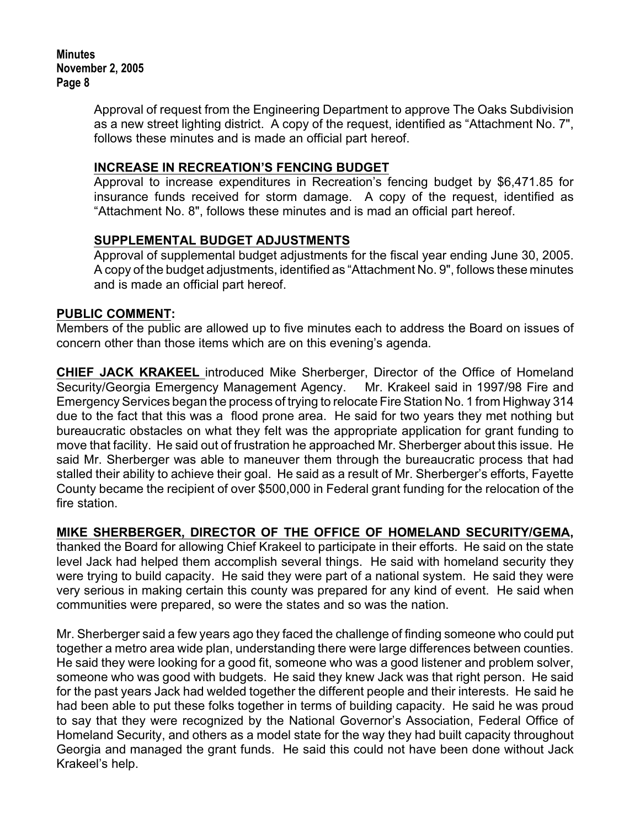> Approval of request from the Engineering Department to approve The Oaks Subdivision as a new street lighting district. A copy of the request, identified as "Attachment No. 7", follows these minutes and is made an official part hereof.

### **INCREASE IN RECREATION'S FENCING BUDGET**

Approval to increase expenditures in Recreation's fencing budget by \$6,471.85 for insurance funds received for storm damage. A copy of the request, identified as "Attachment No. 8", follows these minutes and is mad an official part hereof.

### **SUPPLEMENTAL BUDGET ADJUSTMENTS**

Approval of supplemental budget adjustments for the fiscal year ending June 30, 2005. A copy of the budget adjustments, identified as "Attachment No. 9", follows these minutes and is made an official part hereof.

### **PUBLIC COMMENT:**

Members of the public are allowed up to five minutes each to address the Board on issues of concern other than those items which are on this evening's agenda.

**CHIEF JACK KRAKEEL** introduced Mike Sherberger, Director of the Office of Homeland Security/Georgia Emergency Management Agency.Mr. Krakeel said in 1997/98 Fire and Emergency Services began the process of trying to relocate Fire Station No. 1 from Highway 314 due to the fact that this was a flood prone area. He said for two years they met nothing but bureaucratic obstacles on what they felt was the appropriate application for grant funding to move that facility. He said out of frustration he approached Mr. Sherberger about this issue. He said Mr. Sherberger was able to maneuver them through the bureaucratic process that had stalled their ability to achieve their goal. He said as a result of Mr. Sherberger's efforts, Fayette County became the recipient of over \$500,000 in Federal grant funding for the relocation of the fire station.

### **MIKE SHERBERGER, DIRECTOR OF THE OFFICE OF HOMELAND SECURITY/GEMA,**

thanked the Board for allowing Chief Krakeel to participate in their efforts. He said on the state level Jack had helped them accomplish several things. He said with homeland security they were trying to build capacity. He said they were part of a national system. He said they were very serious in making certain this county was prepared for any kind of event. He said when communities were prepared, so were the states and so was the nation.

Mr. Sherberger said a few years ago they faced the challenge of finding someone who could put together a metro area wide plan, understanding there were large differences between counties. He said they were looking for a good fit, someone who was a good listener and problem solver, someone who was good with budgets. He said they knew Jack was that right person. He said for the past years Jack had welded together the different people and their interests. He said he had been able to put these folks together in terms of building capacity. He said he was proud to say that they were recognized by the National Governor's Association, Federal Office of Homeland Security, and others as a model state for the way they had built capacity throughout Georgia and managed the grant funds. He said this could not have been done without Jack Krakeel's help.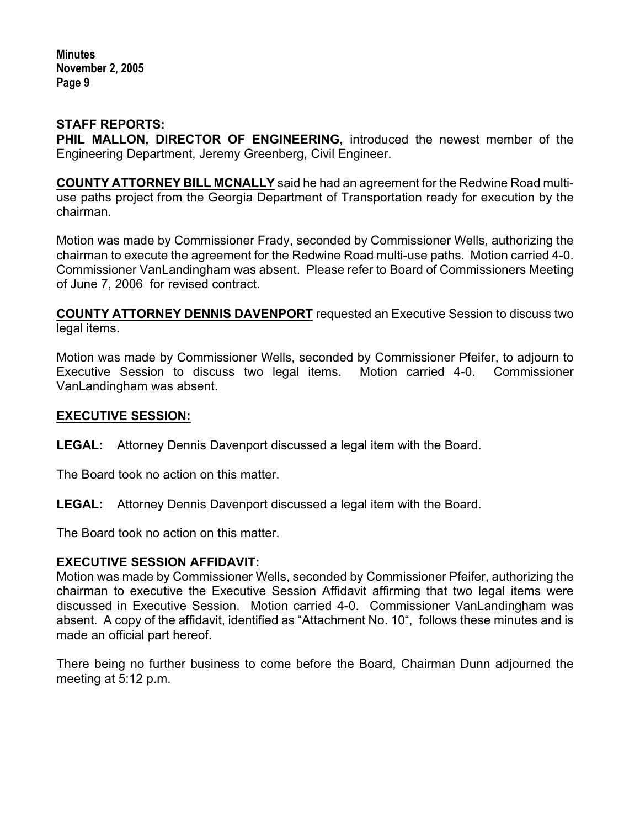### **STAFF REPORTS:**

**PHIL MALLON, DIRECTOR OF ENGINEERING,** introduced the newest member of the Engineering Department, Jeremy Greenberg, Civil Engineer.

**COUNTY ATTORNEY BILL MCNALLY** said he had an agreement for the Redwine Road multiuse paths project from the Georgia Department of Transportation ready for execution by the chairman.

Motion was made by Commissioner Frady, seconded by Commissioner Wells, authorizing the chairman to execute the agreement for the Redwine Road multi-use paths. Motion carried 4-0. Commissioner VanLandingham was absent.Please refer to Board of Commissioners Meeting of June 7, 2006 for revised contract.

**COUNTY ATTORNEY DENNIS DAVENPORT** requested an Executive Session to discuss two legal items.

Motion was made by Commissioner Wells, seconded by Commissioner Pfeifer, to adjourn to Executive Session to discuss two legal items. Motion carried 4-0. Commissioner VanLandingham was absent.

### **EXECUTIVE SESSION:**

**LEGAL:** Attorney Dennis Davenport discussed a legal item with the Board.

The Board took no action on this matter.

**LEGAL:** Attorney Dennis Davenport discussed a legal item with the Board.

The Board took no action on this matter.

#### **EXECUTIVE SESSION AFFIDAVIT:**

Motion was made by Commissioner Wells, seconded by Commissioner Pfeifer, authorizing the chairman to executive the Executive Session Affidavit affirming that two legal items were discussed in Executive Session. Motion carried 4-0. Commissioner VanLandingham was absent.A copy of the affidavit, identified as "Attachment No. 10", follows these minutes and is made an official part hereof.

There being no further business to come before the Board, Chairman Dunn adjourned the meeting at 5:12 p.m.